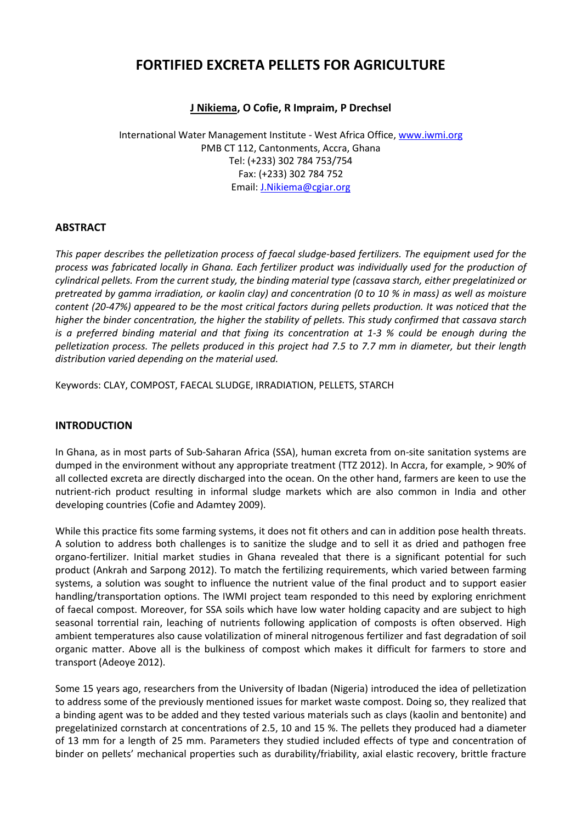# **FORTIFIED EXCRETA PELLETS FOR AGRICULTURE**

# **J Nikiema, O Cofie, R Impraim, P Drechsel**

International Water Management Institute - West Africa Office, [www.iwmi.org](http://www.iwmi.org/) PMB CT 112, Cantonments, Accra, Ghana Tel: (+233) 302 784 753/754 Fax: (+233) 302 784 752 Email[: J.Nikiema@cgiar.org](mailto:J.Nikiema@cgiar.org)

# **ABSTRACT**

*This paper describes the pelletization process of faecal sludge-based fertilizers. The equipment used for the process was fabricated locally in Ghana. Each fertilizer product was individually used for the production of cylindrical pellets. From the current study, the binding material type (cassava starch, either pregelatinized or pretreated by gamma irradiation, or kaolin clay) and concentration (0 to 10 % in mass) as well as moisture content (20-47%) appeared to be the most critical factors during pellets production. It was noticed that the higher the binder concentration, the higher the stability of pellets. This study confirmed that cassava starch is a preferred binding material and that fixing its concentration at 1-3 % could be enough during the pelletization process. The pellets produced in this project had 7.5 to 7.7 mm in diameter, but their length distribution varied depending on the material used.* 

Keywords: CLAY, COMPOST, FAECAL SLUDGE, IRRADIATION, PELLETS, STARCH

# **INTRODUCTION**

In Ghana, as in most parts of Sub-Saharan Africa (SSA), human excreta from on-site sanitation systems are dumped in the environment without any appropriate treatment (TTZ 2012). In Accra, for example, > 90% of all collected excreta are directly discharged into the ocean. On the other hand, farmers are keen to use the nutrient-rich product resulting in informal sludge markets which are also common in India and other developing countries (Cofie and Adamtey 2009).

While this practice fits some farming systems, it does not fit others and can in addition pose health threats. A solution to address both challenges is to sanitize the sludge and to sell it as dried and pathogen free organo-fertilizer. Initial market studies in Ghana revealed that there is a significant potential for such product (Ankrah and Sarpong 2012). To match the fertilizing requirements, which varied between farming systems, a solution was sought to influence the nutrient value of the final product and to support easier handling/transportation options. The IWMI project team responded to this need by exploring enrichment of faecal compost. Moreover, for SSA soils which have low water holding capacity and are subject to high seasonal torrential rain, leaching of nutrients following application of composts is often observed. High ambient temperatures also cause volatilization of mineral nitrogenous fertilizer and fast degradation of soil organic matter. Above all is the bulkiness of compost which makes it difficult for farmers to store and transport (Adeoye 2012).

Some 15 years ago, researchers from the University of Ibadan (Nigeria) introduced the idea of pelletization to address some of the previously mentioned issues for market waste compost. Doing so, they realized that a binding agent was to be added and they tested various materials such as clays (kaolin and bentonite) and pregelatinized cornstarch at concentrations of 2.5, 10 and 15 %. The pellets they produced had a diameter of 13 mm for a length of 25 mm. Parameters they studied included effects of type and concentration of binder on pellets' mechanical properties such as durability/friability, axial elastic recovery, brittle fracture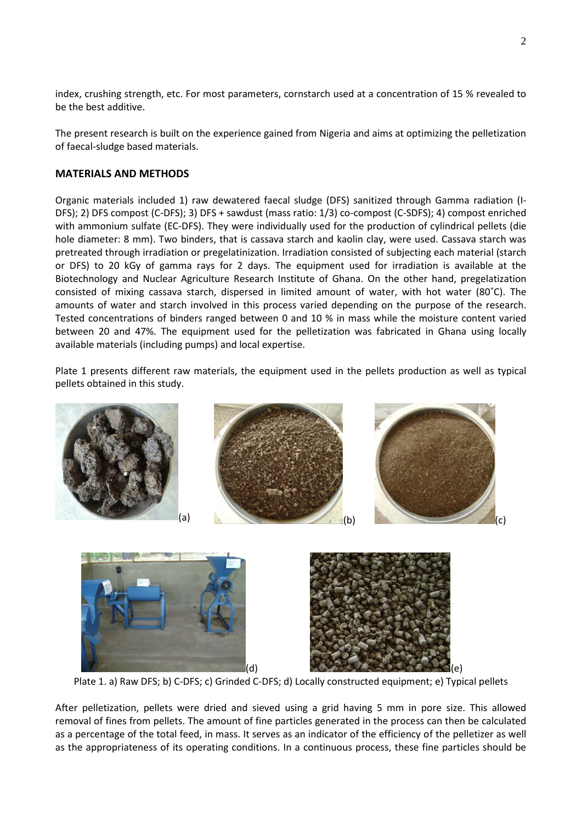index, crushing strength, etc. For most parameters, cornstarch used at a concentration of 15 % revealed to be the best additive.

The present research is built on the experience gained from Nigeria and aims at optimizing the pelletization of faecal-sludge based materials.

# **MATERIALS AND METHODS**

Organic materials included 1) raw dewatered faecal sludge (DFS) sanitized through Gamma radiation (I-DFS); 2) DFS compost (C-DFS); 3) DFS + sawdust (mass ratio: 1/3) co-compost (C-SDFS); 4) compost enriched with ammonium sulfate (EC-DFS). They were individually used for the production of cylindrical pellets (die hole diameter: 8 mm). Two binders, that is cassava starch and kaolin clay, were used. Cassava starch was pretreated through irradiation or pregelatinization. Irradiation consisted of subjecting each material (starch or DFS) to 20 kGy of gamma rays for 2 days. The equipment used for irradiation is available at the Biotechnology and Nuclear Agriculture Research Institute of Ghana. On the other hand, pregelatization consisted of mixing cassava starch, dispersed in limited amount of water, with hot water (80˚C). The amounts of water and starch involved in this process varied depending on the purpose of the research. Tested concentrations of binders ranged between 0 and 10 % in mass while the moisture content varied between 20 and 47%. The equipment used for the pelletization was fabricated in Ghana using locally available materials (including pumps) and local expertise.

Plate 1 presents different raw materials, the equipment used in the pellets production as well as typical pellets obtained in this study.







Plate 1. a) Raw DFS; b) C-DFS; c) Grinded C-DFS; d) Locally constructed equipment; e) Typical pellets

After pelletization, pellets were dried and sieved using a grid having 5 mm in pore size. This allowed removal of fines from pellets. The amount of fine particles generated in the process can then be calculated as a percentage of the total feed, in mass. It serves as an indicator of the efficiency of the pelletizer as well as the appropriateness of its operating conditions. In a continuous process, these fine particles should be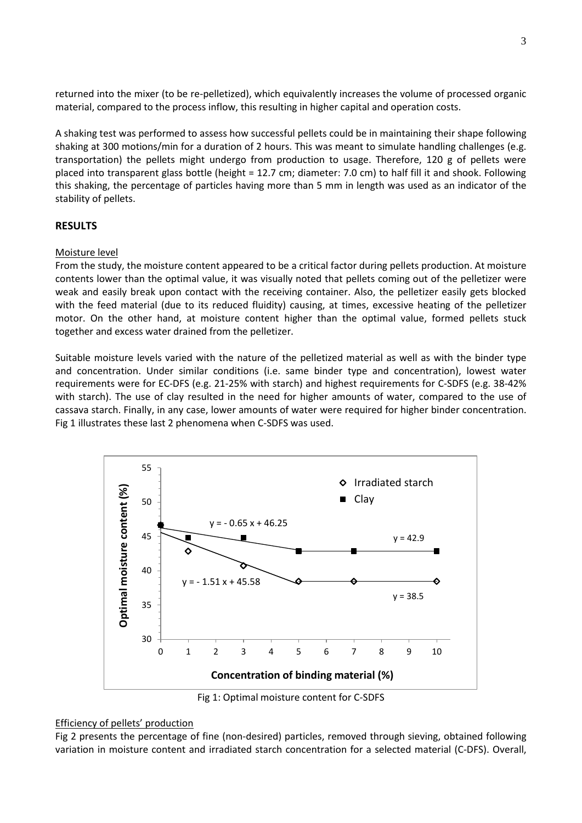returned into the mixer (to be re-pelletized), which equivalently increases the volume of processed organic material, compared to the process inflow, this resulting in higher capital and operation costs.

A shaking test was performed to assess how successful pellets could be in maintaining their shape following shaking at 300 motions/min for a duration of 2 hours. This was meant to simulate handling challenges (e.g. transportation) the pellets might undergo from production to usage. Therefore, 120 g of pellets were placed into transparent glass bottle (height = 12.7 cm; diameter: 7.0 cm) to half fill it and shook. Following this shaking, the percentage of particles having more than 5 mm in length was used as an indicator of the stability of pellets.

# **RESULTS**

### Moisture level

From the study, the moisture content appeared to be a critical factor during pellets production. At moisture contents lower than the optimal value, it was visually noted that pellets coming out of the pelletizer were weak and easily break upon contact with the receiving container. Also, the pelletizer easily gets blocked with the feed material (due to its reduced fluidity) causing, at times, excessive heating of the pelletizer motor. On the other hand, at moisture content higher than the optimal value, formed pellets stuck together and excess water drained from the pelletizer.

Suitable moisture levels varied with the nature of the pelletized material as well as with the binder type and concentration. Under similar conditions (i.e. same binder type and concentration), lowest water requirements were for EC-DFS (e.g. 21-25% with starch) and highest requirements for C-SDFS (e.g. 38-42% with starch). The use of clay resulted in the need for higher amounts of water, compared to the use of cassava starch. Finally, in any case, lower amounts of water were required for higher binder concentration. Fig 1 illustrates these last 2 phenomena when C-SDFS was used.



Fig 1: Optimal moisture content for C-SDFS

#### Efficiency of pellets' production

Fig 2 presents the percentage of fine (non-desired) particles, removed through sieving, obtained following variation in moisture content and irradiated starch concentration for a selected material (C-DFS). Overall,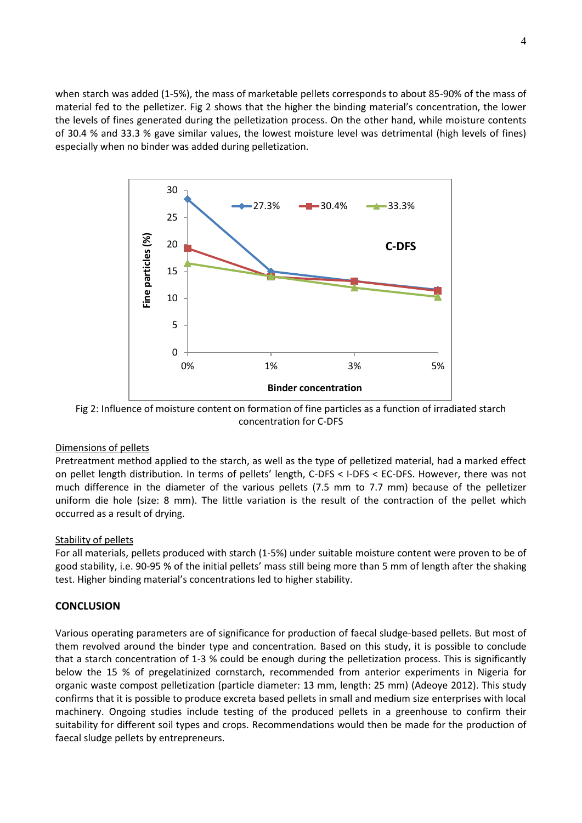when starch was added (1-5%), the mass of marketable pellets corresponds to about 85-90% of the mass of material fed to the pelletizer. Fig 2 shows that the higher the binding material's concentration, the lower the levels of fines generated during the pelletization process. On the other hand, while moisture contents of 30.4 % and 33.3 % gave similar values, the lowest moisture level was detrimental (high levels of fines) especially when no binder was added during pelletization.



Fig 2: Influence of moisture content on formation of fine particles as a function of irradiated starch concentration for C-DFS

## Dimensions of pellets

Pretreatment method applied to the starch, as well as the type of pelletized material, had a marked effect on pellet length distribution. In terms of pellets' length, C-DFS < I-DFS < EC-DFS. However, there was not much difference in the diameter of the various pellets (7.5 mm to 7.7 mm) because of the pelletizer uniform die hole (size: 8 mm). The little variation is the result of the contraction of the pellet which occurred as a result of drying.

## Stability of pellets

For all materials, pellets produced with starch (1-5%) under suitable moisture content were proven to be of good stability, i.e. 90-95 % of the initial pellets' mass still being more than 5 mm of length after the shaking test. Higher binding material's concentrations led to higher stability.

# **CONCLUSION**

Various operating parameters are of significance for production of faecal sludge-based pellets. But most of them revolved around the binder type and concentration. Based on this study, it is possible to conclude that a starch concentration of 1-3 % could be enough during the pelletization process. This is significantly below the 15 % of pregelatinized cornstarch, recommended from anterior experiments in Nigeria for organic waste compost pelletization (particle diameter: 13 mm, length: 25 mm) (Adeoye 2012). This study confirms that it is possible to produce excreta based pellets in small and medium size enterprises with local machinery. Ongoing studies include testing of the produced pellets in a greenhouse to confirm their suitability for different soil types and crops. Recommendations would then be made for the production of faecal sludge pellets by entrepreneurs.